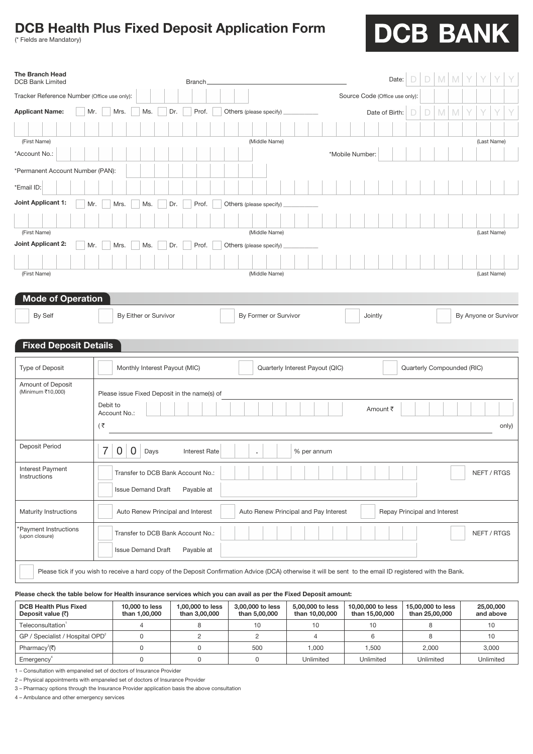# **DCB Health Plus Fixed Deposit Application Form**

(\* Fields are Mandatory)

# DCB BANK

| <b>The Branch Head</b><br><b>DCB Bank Limited</b>                   |                           | <b>Branch</b>                                |                                                                                                                                                             | Date:                          |                              |
|---------------------------------------------------------------------|---------------------------|----------------------------------------------|-------------------------------------------------------------------------------------------------------------------------------------------------------------|--------------------------------|------------------------------|
| Tracker Reference Number (Office use only):                         |                           |                                              |                                                                                                                                                             | Source Code (Office use only): |                              |
| <b>Applicant Name:</b><br>Mr.                                       | Mrs.<br>Ms.               | Prof.<br>Dr.                                 | Others (please specify)                                                                                                                                     | Date of Birth:                 | M<br>D<br>M<br>D             |
|                                                                     |                           |                                              |                                                                                                                                                             |                                |                              |
| (First Name)                                                        |                           |                                              | (Middle Name)                                                                                                                                               |                                | (Last Name)                  |
| *Account No.:                                                       |                           |                                              |                                                                                                                                                             | *Mobile Number:                |                              |
| *Permanent Account Number (PAN):                                    |                           |                                              |                                                                                                                                                             |                                |                              |
| *Email ID:                                                          |                           |                                              |                                                                                                                                                             |                                |                              |
| Joint Applicant 1:<br>Mr.                                           | Mrs.<br>Ms.               | Prof.<br>Dr.                                 | Others (please specify)                                                                                                                                     |                                |                              |
|                                                                     |                           |                                              |                                                                                                                                                             |                                |                              |
| (First Name)                                                        |                           |                                              | (Middle Name)                                                                                                                                               |                                | (Last Name)                  |
| Joint Applicant 2:<br>Mr.                                           | Mrs.<br>Ms.               | Prof.<br>Dr.                                 | Others (please specify)                                                                                                                                     |                                |                              |
|                                                                     |                           |                                              |                                                                                                                                                             |                                |                              |
| (First Name)                                                        |                           |                                              | (Middle Name)                                                                                                                                               |                                | (Last Name)                  |
| <b>Mode of Operation</b><br>By Self<br><b>Fixed Deposit Details</b> | By Either or Survivor     |                                              | By Former or Survivor                                                                                                                                       | Jointly                        | By Anyone or Survivor        |
| Type of Deposit                                                     |                           | Monthly Interest Payout (MIC)                | Quarterly Interest Payout (QIC)                                                                                                                             |                                | Quarterly Compounded (RIC)   |
|                                                                     |                           |                                              |                                                                                                                                                             |                                |                              |
| Amount of Deposit<br>(Minimum ₹10,000)                              |                           | Please issue Fixed Deposit in the name(s) of |                                                                                                                                                             |                                |                              |
|                                                                     | Debit to                  |                                              |                                                                                                                                                             | Amount ₹                       |                              |
|                                                                     | Account No.:<br>(₹        |                                              |                                                                                                                                                             |                                | only)                        |
|                                                                     |                           |                                              |                                                                                                                                                             |                                |                              |
| Deposit Period                                                      | 7<br>0<br>0<br>Days       | <b>Interest Rate</b>                         | % per annum<br>×                                                                                                                                            |                                |                              |
| Interest Payment<br>Instructions                                    |                           | Transfer to DCB Bank Account No.:            |                                                                                                                                                             |                                | NEFT / RTGS                  |
|                                                                     | <b>Issue Demand Draft</b> | Payable at                                   |                                                                                                                                                             |                                |                              |
| Maturity Instructions                                               |                           | Auto Renew Principal and Interest            | Auto Renew Principal and Pay Interest                                                                                                                       |                                | Repay Principal and Interest |
| 'Payment Instructions<br>(upon closure)                             |                           | Transfer to DCB Bank Account No.:            |                                                                                                                                                             |                                | NEFT / RTGS                  |
|                                                                     | <b>Issue Demand Draft</b> | Payable at                                   |                                                                                                                                                             |                                |                              |
|                                                                     |                           |                                              | Please tick if you wish to receive a hard copy of the Deposit Confirmation Advice (DCA) otherwise it will be sent to the email ID registered with the Bank. |                                |                              |

### **Please check the table below for Health insurance services which you can avail as per the Fixed Deposit amount:**

| <b>DCB Health Plus Fixed</b><br>Deposit value $($ | 10,000 to less<br>than 1,00,000 | 1,00,000 to less<br>than 3,00,000 | 3,00,000 to less<br>than 5,00,000 | 5,00,000 to less<br>than 10,00,000 | 10,00,000 to less<br>than 15,00,000 | 15,00,000 to less<br>than 25,00,000 | 25,00,000<br>and above |
|---------------------------------------------------|---------------------------------|-----------------------------------|-----------------------------------|------------------------------------|-------------------------------------|-------------------------------------|------------------------|
| Teleconsultation                                  |                                 |                                   | 10                                | 10                                 |                                     |                                     |                        |
| GP / Specialist / Hospital OPD <sup>2</sup>       |                                 |                                   |                                   |                                    |                                     |                                     |                        |
| Pharmacy <sup>3</sup> (₹)                         |                                 |                                   | 500                               | 1.000                              | .500                                | 2,000                               | 3.000                  |
| Emergency <sup>®</sup>                            |                                 |                                   |                                   | Unlimited                          | Unlimited                           | Unlimited                           | Unlimited              |

1 Consultation with empaneled set of doctors of Insurance Provider

2 Physical appointments with empaneled set of doctors of Insurance Provider

3 Pharmacy options through the Insurance Provider application basis the above consultation

4 - Ambulance and other emergency services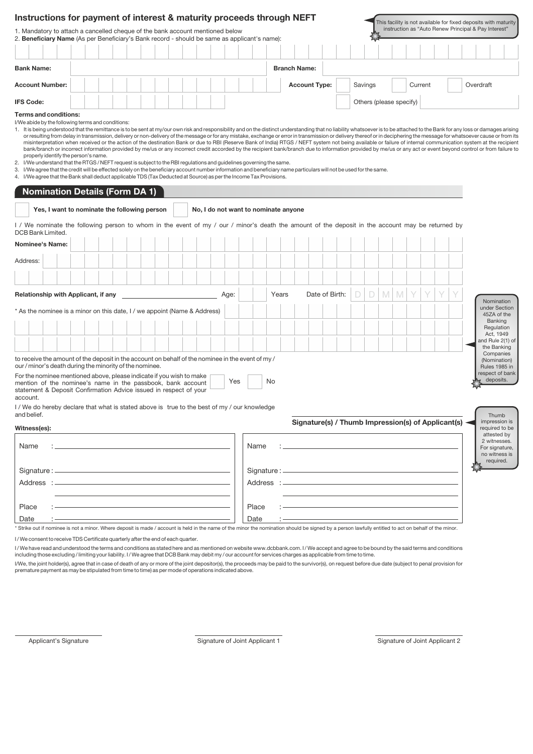| Instructions for payment of interest & maturity proceeds through NEFT                                                                                                                                                                                                                                                                                                                                                                                                                                                                                                                                                                                                                                                                    |                                              |  |  |  |  |  |      |       |                                      |       |                      |                |  |         |             |                         |         |                                                    | This facility is not available for fixed deposits with maturity                                                                                                                                                                                                                                                                                                                                                                                                                                                                                                                                                                                                 |                                                              |
|------------------------------------------------------------------------------------------------------------------------------------------------------------------------------------------------------------------------------------------------------------------------------------------------------------------------------------------------------------------------------------------------------------------------------------------------------------------------------------------------------------------------------------------------------------------------------------------------------------------------------------------------------------------------------------------------------------------------------------------|----------------------------------------------|--|--|--|--|--|------|-------|--------------------------------------|-------|----------------------|----------------|--|---------|-------------|-------------------------|---------|----------------------------------------------------|-----------------------------------------------------------------------------------------------------------------------------------------------------------------------------------------------------------------------------------------------------------------------------------------------------------------------------------------------------------------------------------------------------------------------------------------------------------------------------------------------------------------------------------------------------------------------------------------------------------------------------------------------------------------|--------------------------------------------------------------|
| 1. Mandatory to attach a cancelled cheque of the bank account mentioned below<br>2. Beneficiary Name (As per Beneficiary's Bank record - should be same as applicant's name):                                                                                                                                                                                                                                                                                                                                                                                                                                                                                                                                                            |                                              |  |  |  |  |  |      |       |                                      |       |                      |                |  |         |             |                         |         |                                                    | instruction as "Auto Renew Principal & Pay Interest"                                                                                                                                                                                                                                                                                                                                                                                                                                                                                                                                                                                                            |                                                              |
|                                                                                                                                                                                                                                                                                                                                                                                                                                                                                                                                                                                                                                                                                                                                          |                                              |  |  |  |  |  |      |       |                                      |       |                      |                |  |         |             |                         |         |                                                    |                                                                                                                                                                                                                                                                                                                                                                                                                                                                                                                                                                                                                                                                 |                                                              |
|                                                                                                                                                                                                                                                                                                                                                                                                                                                                                                                                                                                                                                                                                                                                          |                                              |  |  |  |  |  |      |       |                                      |       |                      |                |  |         |             |                         |         |                                                    |                                                                                                                                                                                                                                                                                                                                                                                                                                                                                                                                                                                                                                                                 |                                                              |
| <b>Bank Name:</b>                                                                                                                                                                                                                                                                                                                                                                                                                                                                                                                                                                                                                                                                                                                        |                                              |  |  |  |  |  |      |       |                                      |       | <b>Branch Name:</b>  |                |  |         |             |                         |         |                                                    |                                                                                                                                                                                                                                                                                                                                                                                                                                                                                                                                                                                                                                                                 |                                                              |
| <b>Account Number:</b>                                                                                                                                                                                                                                                                                                                                                                                                                                                                                                                                                                                                                                                                                                                   |                                              |  |  |  |  |  |      |       |                                      |       | <b>Account Type:</b> |                |  | Savings |             |                         | Current |                                                    | Overdraft                                                                                                                                                                                                                                                                                                                                                                                                                                                                                                                                                                                                                                                       |                                                              |
| <b>IFS Code:</b>                                                                                                                                                                                                                                                                                                                                                                                                                                                                                                                                                                                                                                                                                                                         |                                              |  |  |  |  |  |      |       |                                      |       |                      |                |  |         |             | Others (please specify) |         |                                                    |                                                                                                                                                                                                                                                                                                                                                                                                                                                                                                                                                                                                                                                                 |                                                              |
| <b>Terms and conditions:</b><br>I/We abide by the following terms and conditions:<br>1. It is being understood that the remittance is to be sent at my/our own risk and responsibility and on the distinct understanding that no liability whatsoever is to be attached to the Bank for any loss or damages arising<br>2. I/We understand that the RTGS / NEFT request is subject to the RBI regulations and guidelines governing the same.<br>3. I/We agree that the credit will be effected solely on the beneficiary account number information and beneficiary name particulars will not be used for the same.<br>4. I/We agree that the Bank shall deduct applicable TDS (Tax Deducted at Source) as per the Income Tax Provisions. | properly identify the person's name.         |  |  |  |  |  |      |       |                                      |       |                      |                |  |         |             |                         |         |                                                    | or resulting from delay in transmission, delivery or non-delivery of the message or for any mistake, exchange or error in transmission or delivery thereof or in deciphering the message for whatsoever cause or from its<br>misinterpretation when received or the action of the destination Bank or due to RBI (Reserve Bank of India) RTGS / NEFT system not being available or failure of internal communication system at the recipient<br>bank/branch or incorrect information provided by me/us or any incorrect credit accorded by the recipient bank/branch due to information provided by me/us or any act or event beyond control or from failure to |                                                              |
| <b>Nomination Details (Form DA 1)</b>                                                                                                                                                                                                                                                                                                                                                                                                                                                                                                                                                                                                                                                                                                    |                                              |  |  |  |  |  |      |       |                                      |       |                      |                |  |         |             |                         |         |                                                    |                                                                                                                                                                                                                                                                                                                                                                                                                                                                                                                                                                                                                                                                 |                                                              |
|                                                                                                                                                                                                                                                                                                                                                                                                                                                                                                                                                                                                                                                                                                                                          | Yes, I want to nominate the following person |  |  |  |  |  |      |       | No, I do not want to nominate anyone |       |                      |                |  |         |             |                         |         |                                                    |                                                                                                                                                                                                                                                                                                                                                                                                                                                                                                                                                                                                                                                                 |                                                              |
| I / We nominate the following person to whom in the event of my / our / minor's death the amount of the deposit in the account may be returned by<br>DCB Bank Limited.                                                                                                                                                                                                                                                                                                                                                                                                                                                                                                                                                                   |                                              |  |  |  |  |  |      |       |                                      |       |                      |                |  |         |             |                         |         |                                                    |                                                                                                                                                                                                                                                                                                                                                                                                                                                                                                                                                                                                                                                                 |                                                              |
| Nominee's Name:                                                                                                                                                                                                                                                                                                                                                                                                                                                                                                                                                                                                                                                                                                                          |                                              |  |  |  |  |  |      |       |                                      |       |                      |                |  |         |             |                         |         |                                                    |                                                                                                                                                                                                                                                                                                                                                                                                                                                                                                                                                                                                                                                                 |                                                              |
| Address:                                                                                                                                                                                                                                                                                                                                                                                                                                                                                                                                                                                                                                                                                                                                 |                                              |  |  |  |  |  |      |       |                                      |       |                      |                |  |         |             |                         |         |                                                    |                                                                                                                                                                                                                                                                                                                                                                                                                                                                                                                                                                                                                                                                 |                                                              |
|                                                                                                                                                                                                                                                                                                                                                                                                                                                                                                                                                                                                                                                                                                                                          |                                              |  |  |  |  |  |      |       |                                      |       |                      |                |  |         |             |                         |         |                                                    |                                                                                                                                                                                                                                                                                                                                                                                                                                                                                                                                                                                                                                                                 |                                                              |
| Relationship with Applicant, if any                                                                                                                                                                                                                                                                                                                                                                                                                                                                                                                                                                                                                                                                                                      |                                              |  |  |  |  |  | Age: |       |                                      | Years |                      | Date of Birth: |  | D       | $\mathbb N$ | $\mathbb{M}$            |         |                                                    |                                                                                                                                                                                                                                                                                                                                                                                                                                                                                                                                                                                                                                                                 | Nomination                                                   |
| * As the nominee is a minor on this date, I / we appoint (Name & Address)                                                                                                                                                                                                                                                                                                                                                                                                                                                                                                                                                                                                                                                                |                                              |  |  |  |  |  |      |       |                                      |       |                      |                |  |         |             |                         |         |                                                    |                                                                                                                                                                                                                                                                                                                                                                                                                                                                                                                                                                                                                                                                 | under Section<br>45ZA of the                                 |
|                                                                                                                                                                                                                                                                                                                                                                                                                                                                                                                                                                                                                                                                                                                                          |                                              |  |  |  |  |  |      |       |                                      |       |                      |                |  |         |             |                         |         |                                                    |                                                                                                                                                                                                                                                                                                                                                                                                                                                                                                                                                                                                                                                                 | Banking<br>Regulation<br>Act, 1949                           |
|                                                                                                                                                                                                                                                                                                                                                                                                                                                                                                                                                                                                                                                                                                                                          |                                              |  |  |  |  |  |      |       |                                      |       |                      |                |  |         |             |                         |         |                                                    |                                                                                                                                                                                                                                                                                                                                                                                                                                                                                                                                                                                                                                                                 | and Rule 2(1) of<br>the Banking                              |
| to receive the amount of the deposit in the account on behalf of the nominee in the event of my $/$<br>our / minor's death during the minority of the nominee.                                                                                                                                                                                                                                                                                                                                                                                                                                                                                                                                                                           |                                              |  |  |  |  |  |      |       |                                      |       |                      |                |  |         |             |                         |         |                                                    |                                                                                                                                                                                                                                                                                                                                                                                                                                                                                                                                                                                                                                                                 | Companies<br>(Nomination)<br>Rules 1985 in                   |
| For the nominee mentioned above, please indicate if you wish to make<br>mention of the nominee's name in the passbook, bank account<br>statement & Deposit Confirmation Advice issued in respect of your<br>account.                                                                                                                                                                                                                                                                                                                                                                                                                                                                                                                     |                                              |  |  |  |  |  | Yes  |       | No                                   |       |                      |                |  |         |             |                         |         |                                                    |                                                                                                                                                                                                                                                                                                                                                                                                                                                                                                                                                                                                                                                                 | respect of bank<br>deposits.                                 |
| I / We do hereby declare that what is stated above is true to the best of my / our knowledge<br>and belief.                                                                                                                                                                                                                                                                                                                                                                                                                                                                                                                                                                                                                              |                                              |  |  |  |  |  |      |       |                                      |       |                      |                |  |         |             |                         |         |                                                    |                                                                                                                                                                                                                                                                                                                                                                                                                                                                                                                                                                                                                                                                 | Thumb<br>impression is                                       |
| Witness(es):                                                                                                                                                                                                                                                                                                                                                                                                                                                                                                                                                                                                                                                                                                                             |                                              |  |  |  |  |  |      |       |                                      |       |                      |                |  |         |             |                         |         | Signature(s) / Thumb Impression(s) of Applicant(s) |                                                                                                                                                                                                                                                                                                                                                                                                                                                                                                                                                                                                                                                                 | required to be<br>attested by                                |
| Name                                                                                                                                                                                                                                                                                                                                                                                                                                                                                                                                                                                                                                                                                                                                     |                                              |  |  |  |  |  |      | Name  |                                      |       |                      |                |  |         |             |                         |         |                                                    |                                                                                                                                                                                                                                                                                                                                                                                                                                                                                                                                                                                                                                                                 | 2 witnesses.<br>For signature,<br>no witness is<br>required. |
| Signature : _                                                                                                                                                                                                                                                                                                                                                                                                                                                                                                                                                                                                                                                                                                                            |                                              |  |  |  |  |  |      |       | Signature:                           |       |                      |                |  |         |             |                         |         |                                                    |                                                                                                                                                                                                                                                                                                                                                                                                                                                                                                                                                                                                                                                                 |                                                              |
| Address :                                                                                                                                                                                                                                                                                                                                                                                                                                                                                                                                                                                                                                                                                                                                |                                              |  |  |  |  |  |      |       |                                      |       |                      |                |  |         |             |                         |         |                                                    |                                                                                                                                                                                                                                                                                                                                                                                                                                                                                                                                                                                                                                                                 |                                                              |
| Place                                                                                                                                                                                                                                                                                                                                                                                                                                                                                                                                                                                                                                                                                                                                    |                                              |  |  |  |  |  |      |       |                                      |       |                      |                |  |         |             |                         |         |                                                    |                                                                                                                                                                                                                                                                                                                                                                                                                                                                                                                                                                                                                                                                 |                                                              |
|                                                                                                                                                                                                                                                                                                                                                                                                                                                                                                                                                                                                                                                                                                                                          |                                              |  |  |  |  |  |      | Place |                                      |       |                      |                |  |         |             |                         |         |                                                    |                                                                                                                                                                                                                                                                                                                                                                                                                                                                                                                                                                                                                                                                 |                                                              |

I / We consent to receive TDS Certificate quarterly after the end of each quarter.

I / We have read and understood the terms and conditions as stated here and as mentioned on website www.dcbbank.com. I / We accept and agree to be bound by the said terms and conditions including those excluding / limiting your liability. I / We agree that DCB Bank may debit my / our account for services charges as applicable from time to time.

I/We, the joint holder(s), agree that in case of death of any or more of the joint depositor(s), the proceeds may be paid to the survivor(s), on request before due date (subject to penal provision for<br>premature payment as

Applicant's Signature Signature Signature of Joint Applicant 1 Signature of Joint Applicant 2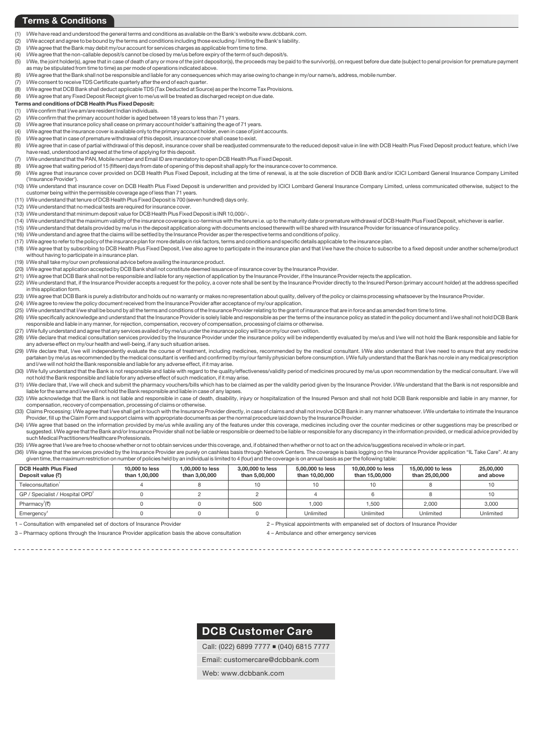#### **Terms & Conditions**

- (1) I/We have read and understood the general terms and conditions as available on the Bank's website www.dcbbank.com.
- (2) I/We accept and agree to be bound by the terms and conditions including those excluding / limiting the Bank's liability.
- (3) I/We agree that the Bank may debit my/our account for services charges as applicable from time to time.
- (4) I/We agree that the non-callable deposit/s cannot be closed by me/us before expiry of the term of such deposit/s.
- (5) I/We, the joint holder(s), agree that in case of death of any or more of the joint depositor(s), the proceeds may be paid to the survivor(s), on request before due date (subject to penal provision for premature payment as may be stipulated from time to time) as per mode of operations indicated above.
- (6) I/We agree that the Bank shall not be responsible and liable for any consequences which may arise owing to change in my/our name/s, address, mobile number
- (7) I/We consent to receive TDS Certificate quarterly after the end of each quarter.
- (8) I/We agree that DCB Bank shall deduct applicable TDS (Tax Deducted at Source) as per the Income Tax Provisions.
- (9) I/We agree that any Fixed Deposit Receipt given to me/us will be treated as discharged receipt on due date.
- **Terms and conditions of DCB Health Plus Fixed Deposit:**

#### (1) I/We confirm that I/we am/are resident Indian individuals.

- (2) I/We confirm that the primary account holder is aged between 18 years to less than 71 years.
- (3) I/We agree that insurance policy shall cease on primary account holder's attaining the age of 71 years.
- (4) I/We agree that the insurance cover is available only to the primary account holder, even in case of joint accounts.
- (5) I/We agree that in case of premature withdrawal of this deposit, insurance cover shall cease to exist.
- (6) I/We agree that in case of partial withdrawal of this deposit, insurance cover shall be readjusted commensurate to the reduced deposit value in line with DCB Health Plus Fixed Deposit product feature, which I/we have read, understood and agreed at the time of applying for this deposit.
- (7) I/We understand that the PAN, Mobile number and Email ID are mandatory to open DCB Health Plus Fixed Deposit.
- (8) I/We agree that waiting period of 15 (fifteen) days from date of opening of this deposit shall apply for the insurance cover to commence<br>(9) I/We agree that insurance cover provided on DCB Health Plus Fixed Deposit, in
- I/We agree that insurance cover provided on DCB Health Plus Fixed Deposit, including at the time of renewal, is at the sole discretion of DCB Bank and/or ICICI Lombard General Insurance Company Limited ('Insurance Provider').
- (10) I/We understand that insurance cover on DCB Health Plus Fixed Deposit is underwritten and provided by ICICI Lombard General Insurance Company Limited, unless communicated otherwise, subject to the customer being within the permissible coverage age of less than 71 years.
- (11) I/We understand that tenure of DCB Health Plus Fixed Deposit is 700 (seven hundred) days only.
- (12) I/We understand that no medical tests are required for insurance cover.
- (13) I/We understand that minimum deposit value for DCB Health Plus Fixed Deposit is INR 10,000/-.
- (14) I/We understand that the maximum validity of the insurance coverage is co-terminus with the tenure i.e. up to the maturity date or premature withdrawal of DCB Health Plus Fixed Deposit, whichever is earlier.
- (15) I/We understand that details provided by me/us in the deposit application along with documents enclosed therewith will be shared with Insurance Provider for issuance of insurance policy.
- (16) I/We understand and agree that the claims will be settled by the Insurance Provider as per the respective terms and conditions of policy.
- (17) I/We agree to refer to the policy of the insurance plan for more details on risk factors, terms and conditions and specific details applicable to the insurance plan.
- (18) I/We agree that by subscribing to DCB Health Plus Fixed Deposit, I/we also agree to participate in the insurance plan and that I/we have the choice to subscribe to a fixed deposit under another scheme/product without having to participate in a insurance plan.
- (19) I/We shall take my/our own professional advice before availing the insurance product.
- (20) I/We agree that application accepted by DCB Bank shall not constitute deemed issuance of insurance cover by the Insurance Provider.
- (21) I/We agree that DCB Bank shall not be responsible and liable for any rejection of application by the Insurance Provider, if the Insurance Provider rejects the application.
- (22) I/We understand that, if the Insurance Provider accepts a request for the policy, a cover note shall be sent by the Insurance Provider directly to the Insured Person (primary account holder) at the address specified in this application form.
- (23) I/We agree that DCB Bank is purely a distributor and holds out no warranty or makes no representation about quality, delivery of the policy or claims processing whatsoever by the Insurance Provider.
- (24) I/We agree to review the policy document received from the Insurance Provider after acceptance of my/our application.
- (26) I/We specifically acknowledge and understand that the Insurance Provider is solely liable and responsible as per the terms of the insurance policy as stated in the policy document and I/we shall not hold DCB Bank responsible and liable in any manner, for rejection, compensation, recovery of compensation, processing of claims or otherwise. (25) I/We understand that I/we shall be bound by all the terms and conditions of the Insurance Provider relating to the grant of insurance that are in force and as amended from time to time.
- (27) I/We fully understand and agree that any services availed of by me/us under the insurance policy will be on my/our own volition.
- (28) I/We declare that medical consultation services provided by the Insurance Provider under the insurance policy will be independently evaluated by me/us and I/we will not hold the Bank responsible and liable for any adverse effect on my/our health and well-being, if any such situation arises.
- (29) I/We declare that, I/we will independently evaluate the course of treatment, including medicines, recommended by the medical consultant. I/We also understand that I/we need to ensure that any medicine partaken by me/us as recommended by the medical consultant is verified and confirmed by my/our family physician before consumption. I/We fully understand that the Bank has no role in any medical prescription and I/we will not hold the Bank responsible and liable for any adverse effect, if it may arise.
- (30) I/We fully understand that the Bank is not responsible and liable with regard to the quality/effectiveness/validity period of medicines procured by me/us upon recommendation by the medical consultant. I/we will not hold the Bank responsible and liable for any adverse effect of such medication, if it may arise.
- (31) I/We declare that, I/we will check and submit the pharmacy vouchers/bills which has to be claimed as per the validity period given by the Insurance Provider. I/We understand that the Bank is not responsible and liable for the same and I/we will not hold the Bank responsible and liable in case of any lapses.
- (32) I/We acknowledge that the Bank is not liable and responsible in case of death, disability, injury or hospitalization of the Insured Person and shall not hold DCB Bank responsible and liable in any manner, for compensation, recovery of compensation, processing of claims or otherwise.
- (33) Claims Processing: I/We agree that I/we shall get in touch with the Insurance Provider directly, in case of claims and shall not involve DCB Bank in any manner whatsoever. I/We undertake to intimate the Insurance Provider, fill up the Claim Form and support claims with appropriate documents as per the normal procedure laid down by the Insurance Provider.
- (34) I/We agree that based on the information provided by me/us while availing any of the features under this coverage, medicines including over the counter medicines or other suggestions may be prescribed or suggested. I/We agree that the Bank and/or Insurance Provider shall not be liable or responsible or deemed to be liable or responsible for any discrepancy in the information provided, or medical advice provided by such Medical Practitioners/Healthcare Professionals.
- (35) I/We agree that I/we are free to choose whether or not to obtain services under this coverage, and, if obtained then whether or not to act on the advice/suggestions received in whole or in part.
- (36) I/We agree that the services provided by the Insurance Provider are purely on cashless basis through Network Centers. The coverage is basis logging on the Insurance Provider application "IL Take Care". At any given time, the maximum restriction on number of policies held by an individual is limited to 4 (four) and the coverage is on annual basis as per the following table:

| <b>DCB Health Plus Fixed</b><br>Deposit value (₹) | 10,000 to less<br>than 1.00.000 | 1.00.000 to less<br>than 3,00,000 | 3,00,000 to less<br>than 5,00,000 | 5,00,000 to less<br>than 10,00,000 | 10,00,000 to less<br>than 15,00,000 | 15,00,000 to less<br>than 25,00,000 | 25,00,000<br>and above |
|---------------------------------------------------|---------------------------------|-----------------------------------|-----------------------------------|------------------------------------|-------------------------------------|-------------------------------------|------------------------|
| Teleconsultation <sup>1</sup>                     |                                 |                                   | 10                                | 10                                 |                                     |                                     | 10                     |
| GP / Specialist / Hospital OPD <sup>2</sup>       |                                 |                                   |                                   |                                    |                                     |                                     | 10                     |
| Pharmacy <sup>3</sup> ( $\bar{x}$ )               |                                 |                                   | 500                               | 1.000                              | .500                                | 2.000                               | 3.000                  |
| Emergency <sup>®</sup>                            |                                 |                                   |                                   | Unlimited                          | Unlimited                           | Unlimited                           | Unlimited              |

\_\_\_\_\_\_\_\_\_\_\_\_\_\_\_\_\_\_\_\_\_\_\_\_\_

1 - Consultation with empaneled set of doctors of Insurance Provider

2 - Physical appointments with empaneled set of doctors of Insurance Provider

3 Pharmacy options through the Insurance Provider application basis the above consultation

4 - Ambulance and other emergency services

## DCB Customer Care

Call: (022) 6899 7777 (040) 6815 7777

Email: customercare@dcbbank.com

Web: www.dcbbank.com